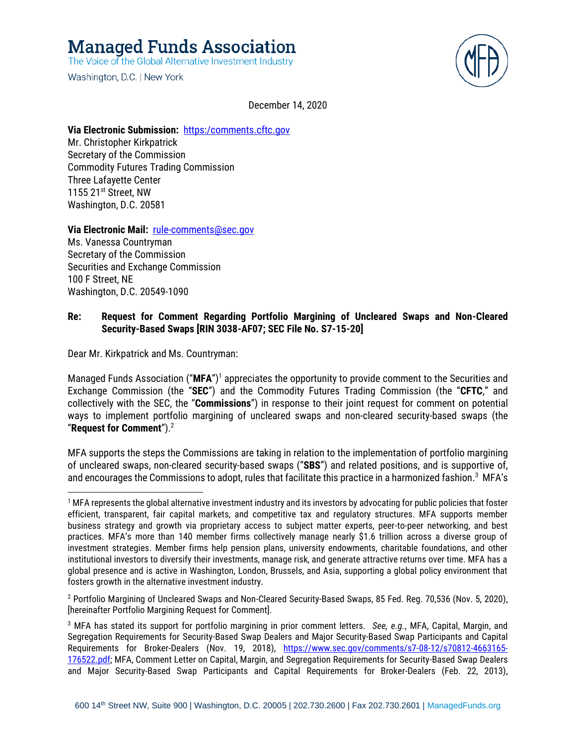**Managed Funds Association** 

The Voice of the Global Alternative Investment Industry

Washington, D.C. | New York



December 14, 2020

#### **Via Electronic Submission:** [https:/comments.cftc.gov](https://comments.cftc.gov/)

Mr. Christopher Kirkpatrick Secretary of the Commission Commodity Futures Trading Commission Three Lafayette Center 1155 21st Street, NW Washington, D.C. 20581

#### **Via Electronic Mail:** [rule-comments@sec.gov](mailto:rule-comments@sec.gov)

Ms. Vanessa Countryman Secretary of the Commission Securities and Exchange Commission 100 F Street, NE Washington, D.C. 20549-1090

## **Re: Request for Comment Regarding Portfolio Margining of Uncleared Swaps and Non-Cleared Security-Based Swaps [RIN 3038-AF07; SEC File No. S7-15-20]**

Dear Mr. Kirkpatrick and Ms. Countryman:

Managed Funds Association ("**MFA**")<sup>1</sup> appreciates the opportunity to provide comment to the Securities and Exchange Commission (the "**SEC**") and the Commodity Futures Trading Commission (the "**CFTC**," and collectively with the SEC, the "**Commissions**") in response to their joint request for comment on potential ways to implement portfolio margining of uncleared swaps and non-cleared security-based swaps (the "**Request for Comment**"). 2

MFA supports the steps the Commissions are taking in relation to the implementation of portfolio margining of uncleared swaps, non-cleared security-based swaps ("**SBS**") and related positions, and is supportive of, and encourages the Commissions to adopt, rules that facilitate this practice in a harmonized fashion. 3 MFA's

<sup>2</sup> Portfolio Margining of Uncleared Swaps and Non-Cleared Security-Based Swaps, 85 Fed. Reg. 70,536 (Nov. 5, 2020), [hereinafter Portfolio Margining Request for Comment].

 $1$  MFA represents the global alternative investment industry and its investors by advocating for public policies that foster efficient, transparent, fair capital markets, and competitive tax and regulatory structures. MFA supports member business strategy and growth via proprietary access to subject matter experts, peer-to-peer networking, and best practices. MFA's more than 140 member firms collectively manage nearly \$1.6 trillion across a diverse group of investment strategies. Member firms help pension plans, university endowments, charitable foundations, and other institutional investors to diversify their investments, manage risk, and generate attractive returns over time. MFA has a global presence and is active in Washington, London, Brussels, and Asia, supporting a global policy environment that fosters growth in the alternative investment industry.

<sup>3</sup> MFA has stated its support for portfolio margining in prior comment letters. *See, e.g.*, MFA, Capital, Margin, and Segregation Requirements for Security-Based Swap Dealers and Major Security-Based Swap Participants and Capital Requirements for Broker-Dealers (Nov. 19, 2018), [https://www.sec.gov/comments/s7-08-12/s70812-4663165-](https://www.sec.gov/comments/s7-08-12/s70812-4663165-176522.pdf) [176522.pdf;](https://www.sec.gov/comments/s7-08-12/s70812-4663165-176522.pdf) MFA, Comment Letter on Capital, Margin, and Segregation Requirements for Security-Based Swap Dealers and Major Security-Based Swap Participants and Capital Requirements for Broker-Dealers (Feb. 22, 2013),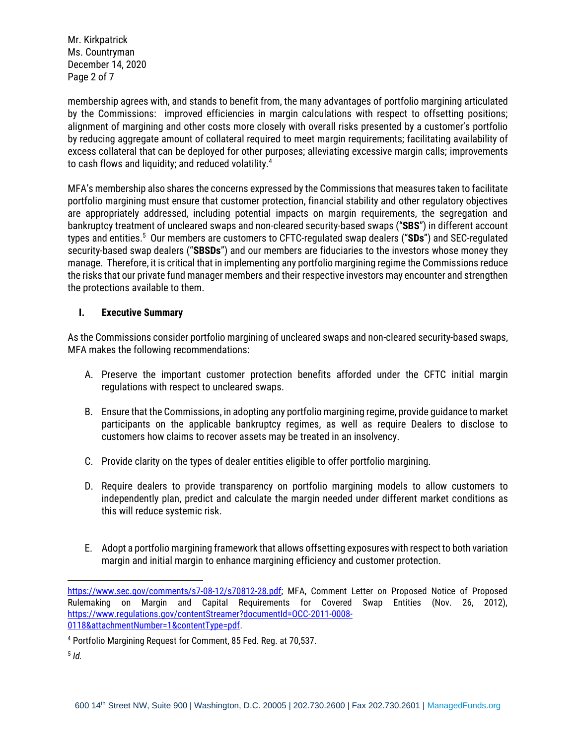Mr. Kirkpatrick Ms. Countryman December 14, 2020 Page 2 of 7

membership agrees with, and stands to benefit from, the many advantages of portfolio margining articulated by the Commissions: improved efficiencies in margin calculations with respect to offsetting positions; alignment of margining and other costs more closely with overall risks presented by a customer's portfolio by reducing aggregate amount of collateral required to meet margin requirements; facilitating availability of excess collateral that can be deployed for other purposes; alleviating excessive margin calls; improvements to cash flows and liquidity; and reduced volatility. $4\,$ 

MFA's membership also shares the concerns expressed by the Commissions that measures taken to facilitate portfolio margining must ensure that customer protection, financial stability and other regulatory objectives are appropriately addressed, including potential impacts on margin requirements, the segregation and bankruptcy treatment of uncleared swaps and non-cleared security-based swaps ("**SBS**") in different account types and entities.<sup>5</sup> Our members are customers to CFTC-regulated swap dealers ("**SDs**") and SEC-regulated security-based swap dealers ("**SBSDs**") and our members are fiduciaries to the investors whose money they manage. Therefore, it is critical that in implementing any portfolio margining regime the Commissions reduce the risks that our private fund manager members and their respective investors may encounter and strengthen the protections available to them.

#### **I. Executive Summary**

As the Commissions consider portfolio margining of uncleared swaps and non-cleared security-based swaps, MFA makes the following recommendations:

- A. Preserve the important customer protection benefits afforded under the CFTC initial margin regulations with respect to uncleared swaps.
- B. Ensure that the Commissions, in adopting any portfolio margining regime, provide guidance to market participants on the applicable bankruptcy regimes, as well as require Dealers to disclose to customers how claims to recover assets may be treated in an insolvency.
- C. Provide clarity on the types of dealer entities eligible to offer portfolio margining.
- D. Require dealers to provide transparency on portfolio margining models to allow customers to independently plan, predict and calculate the margin needed under different market conditions as this will reduce systemic risk.
- E. Adopt a portfolio margining framework that allows offsetting exposures with respect to both variation margin and initial margin to enhance margining efficiency and customer protection.

[https://www.sec.gov/comments/s7-08-12/s70812-28.pdf;](https://www.sec.gov/comments/s7-08-12/s70812-28.pdf) MFA, Comment Letter on Proposed Notice of Proposed Rulemaking on Margin and Capital Requirements for Covered Swap Entities (Nov. 26, 2012), [https://www.regulations.gov/contentStreamer?documentId=OCC-2011-0008-](https://www.regulations.gov/contentStreamer?documentId=OCC-2011-0008-0118&attachmentNumber=1&contentType=pdf) [0118&attachmentNumber=1&contentType=pdf.](https://www.regulations.gov/contentStreamer?documentId=OCC-2011-0008-0118&attachmentNumber=1&contentType=pdf)

<sup>4</sup> Portfolio Margining Request for Comment, 85 Fed. Reg. at 70,537.

<sup>5</sup> *Id.*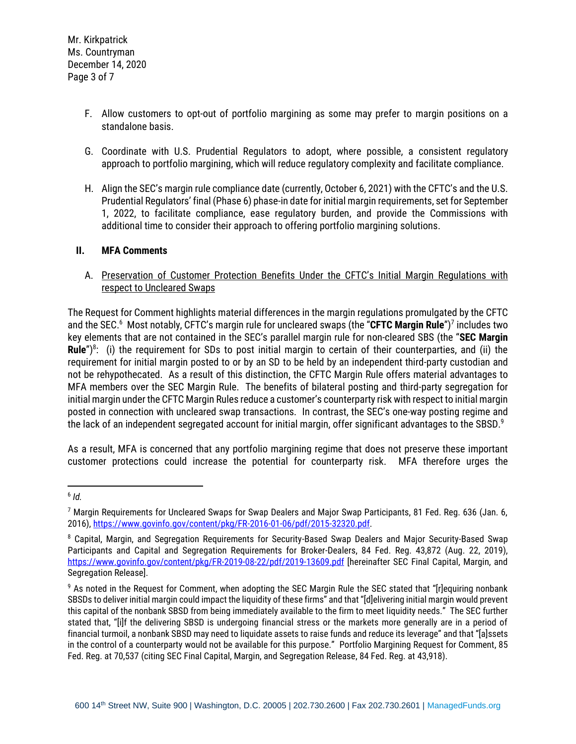- F. Allow customers to opt-out of portfolio margining as some may prefer to margin positions on a standalone basis.
- G. Coordinate with U.S. Prudential Regulators to adopt, where possible, a consistent regulatory approach to portfolio margining, which will reduce regulatory complexity and facilitate compliance.
- H. Align the SEC's margin rule compliance date (currently, October 6, 2021) with the CFTC's and the U.S. Prudential Regulators' final (Phase 6) phase-in date for initial margin requirements, set for September 1, 2022, to facilitate compliance, ease regulatory burden, and provide the Commissions with additional time to consider their approach to offering portfolio margining solutions.

#### **II. MFA Comments**

A. Preservation of Customer Protection Benefits Under the CFTC's Initial Margin Regulations with respect to Uncleared Swaps

The Request for Comment highlights material differences in the margin regulations promulgated by the CFTC and the SEC.<sup>6</sup> Most notably, CFTC's margin rule for uncleared swaps (the "**CFTC Margin Rule**")<sup>7</sup> includes two key elements that are not contained in the SEC's parallel margin rule for non-cleared SBS (the "**SEC Margin**  Rule<sup>")8</sup>: (i) the requirement for SDs to post initial margin to certain of their counterparties, and (ii) the requirement for initial margin posted to or by an SD to be held by an independent third-party custodian and not be rehypothecated. As a result of this distinction, the CFTC Margin Rule offers material advantages to MFA members over the SEC Margin Rule. The benefits of bilateral posting and third-party segregation for initial margin under the CFTC Margin Rules reduce a customer's counterparty risk with respect to initial margin posted in connection with uncleared swap transactions. In contrast, the SEC's one-way posting regime and the lack of an independent segregated account for initial margin, offer significant advantages to the SBSD. $^9$ 

As a result, MFA is concerned that any portfolio margining regime that does not preserve these important customer protections could increase the potential for counterparty risk. MFA therefore urges the

<sup>6</sup> *Id.*

<sup>7</sup> Margin Requirements for Uncleared Swaps for Swap Dealers and Major Swap Participants, 81 Fed. Reg. 636 (Jan. 6, 2016), [https://www.govinfo.gov/content/pkg/FR-2016-01-06/pdf/2015-32320.pdf.](https://www.govinfo.gov/content/pkg/FR-2016-01-06/pdf/2015-32320.pdf)

<sup>&</sup>lt;sup>8</sup> Capital, Margin, and Segregation Requirements for Security-Based Swap Dealers and Major Security-Based Swap Participants and Capital and Segregation Requirements for Broker-Dealers, 84 Fed. Reg. 43,872 (Aug. 22, 2019), <https://www.govinfo.gov/content/pkg/FR-2019-08-22/pdf/2019-13609.pdf> [hereinafter SEC Final Capital, Margin, and Segregation Release].

<sup>&</sup>lt;sup>9</sup> As noted in the Request for Comment, when adopting the SEC Margin Rule the SEC stated that "[r]equiring nonbank SBSDs to deliver initial margin could impact the liquidity of these firms" and that "[d]elivering initial margin would prevent this capital of the nonbank SBSD from being immediately available to the firm to meet liquidity needs." The SEC further stated that, "[i]f the delivering SBSD is undergoing financial stress or the markets more generally are in a period of financial turmoil, a nonbank SBSD may need to liquidate assets to raise funds and reduce its leverage" and that "[a]ssets in the control of a counterparty would not be available for this purpose." Portfolio Margining Request for Comment, 85 Fed. Reg. at 70,537 (citing SEC Final Capital, Margin, and Segregation Release, 84 Fed. Reg. at 43,918).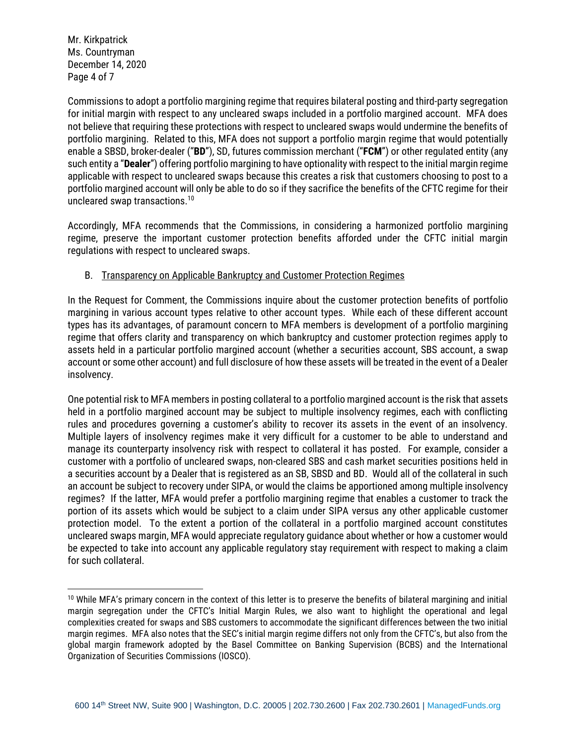Mr. Kirkpatrick Ms. Countryman December 14, 2020 Page 4 of 7

Commissions to adopt a portfolio margining regime that requires bilateral posting and third-party segregation for initial margin with respect to any uncleared swaps included in a portfolio margined account. MFA does not believe that requiring these protections with respect to uncleared swaps would undermine the benefits of portfolio margining. Related to this, MFA does not support a portfolio margin regime that would potentially enable a SBSD, broker-dealer ("**BD**"), SD, futures commission merchant ("**FCM**") or other regulated entity (any such entity a "**Dealer**") offering portfolio margining to have optionality with respect to the initial margin regime applicable with respect to uncleared swaps because this creates a risk that customers choosing to post to a portfolio margined account will only be able to do so if they sacrifice the benefits of the CFTC regime for their uncleared swap transactions.<sup>10</sup>

Accordingly, MFA recommends that the Commissions, in considering a harmonized portfolio margining regime, preserve the important customer protection benefits afforded under the CFTC initial margin regulations with respect to uncleared swaps.

# B. Transparency on Applicable Bankruptcy and Customer Protection Regimes

In the Request for Comment, the Commissions inquire about the customer protection benefits of portfolio margining in various account types relative to other account types. While each of these different account types has its advantages, of paramount concern to MFA members is development of a portfolio margining regime that offers clarity and transparency on which bankruptcy and customer protection regimes apply to assets held in a particular portfolio margined account (whether a securities account, SBS account, a swap account or some other account) and full disclosure of how these assets will be treated in the event of a Dealer insolvency.

One potential risk to MFA members in posting collateral to a portfolio margined account is the risk that assets held in a portfolio margined account may be subject to multiple insolvency regimes, each with conflicting rules and procedures governing a customer's ability to recover its assets in the event of an insolvency. Multiple layers of insolvency regimes make it very difficult for a customer to be able to understand and manage its counterparty insolvency risk with respect to collateral it has posted. For example, consider a customer with a portfolio of uncleared swaps, non-cleared SBS and cash market securities positions held in a securities account by a Dealer that is registered as an SB, SBSD and BD. Would all of the collateral in such an account be subject to recovery under SIPA, or would the claims be apportioned among multiple insolvency regimes? If the latter, MFA would prefer a portfolio margining regime that enables a customer to track the portion of its assets which would be subject to a claim under SIPA versus any other applicable customer protection model. To the extent a portion of the collateral in a portfolio margined account constitutes uncleared swaps margin, MFA would appreciate regulatory guidance about whether or how a customer would be expected to take into account any applicable regulatory stay requirement with respect to making a claim for such collateral.

<sup>&</sup>lt;sup>10</sup> While MFA's primary concern in the context of this letter is to preserve the benefits of bilateral margining and initial margin segregation under the CFTC's Initial Margin Rules, we also want to highlight the operational and legal complexities created for swaps and SBS customers to accommodate the significant differences between the two initial margin regimes. MFA also notes that the SEC's initial margin regime differs not only from the CFTC's, but also from the global margin framework adopted by the Basel Committee on Banking Supervision (BCBS) and the International Organization of Securities Commissions (IOSCO).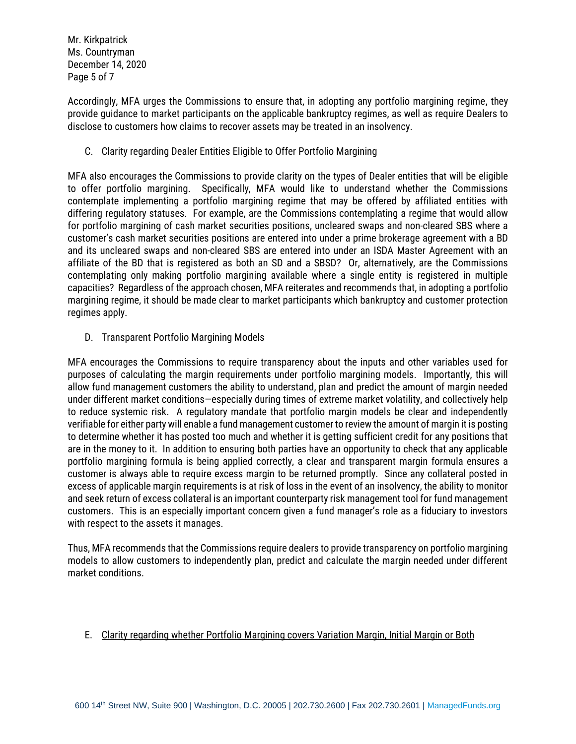Mr. Kirkpatrick Ms. Countryman December 14, 2020 Page 5 of 7

Accordingly, MFA urges the Commissions to ensure that, in adopting any portfolio margining regime, they provide guidance to market participants on the applicable bankruptcy regimes, as well as require Dealers to disclose to customers how claims to recover assets may be treated in an insolvency.

### C. Clarity regarding Dealer Entities Eligible to Offer Portfolio Margining

MFA also encourages the Commissions to provide clarity on the types of Dealer entities that will be eligible to offer portfolio margining. Specifically, MFA would like to understand whether the Commissions contemplate implementing a portfolio margining regime that may be offered by affiliated entities with differing regulatory statuses. For example, are the Commissions contemplating a regime that would allow for portfolio margining of cash market securities positions, uncleared swaps and non-cleared SBS where a customer's cash market securities positions are entered into under a prime brokerage agreement with a BD and its uncleared swaps and non-cleared SBS are entered into under an ISDA Master Agreement with an affiliate of the BD that is registered as both an SD and a SBSD? Or, alternatively, are the Commissions contemplating only making portfolio margining available where a single entity is registered in multiple capacities? Regardless of the approach chosen, MFA reiterates and recommends that, in adopting a portfolio margining regime, it should be made clear to market participants which bankruptcy and customer protection regimes apply.

# D. Transparent Portfolio Margining Models

MFA encourages the Commissions to require transparency about the inputs and other variables used for purposes of calculating the margin requirements under portfolio margining models. Importantly, this will allow fund management customers the ability to understand, plan and predict the amount of margin needed under different market conditions—especially during times of extreme market volatility, and collectively help to reduce systemic risk. A regulatory mandate that portfolio margin models be clear and independently verifiable for either party will enable a fund management customer to review the amount of margin it is posting to determine whether it has posted too much and whether it is getting sufficient credit for any positions that are in the money to it. In addition to ensuring both parties have an opportunity to check that any applicable portfolio margining formula is being applied correctly, a clear and transparent margin formula ensures a customer is always able to require excess margin to be returned promptly. Since any collateral posted in excess of applicable margin requirements is at risk of loss in the event of an insolvency, the ability to monitor and seek return of excess collateral is an important counterparty risk management tool for fund management customers. This is an especially important concern given a fund manager's role as a fiduciary to investors with respect to the assets it manages.

Thus, MFA recommends that the Commissions require dealers to provide transparency on portfolio margining models to allow customers to independently plan, predict and calculate the margin needed under different market conditions.

### E. Clarity regarding whether Portfolio Margining covers Variation Margin, Initial Margin or Both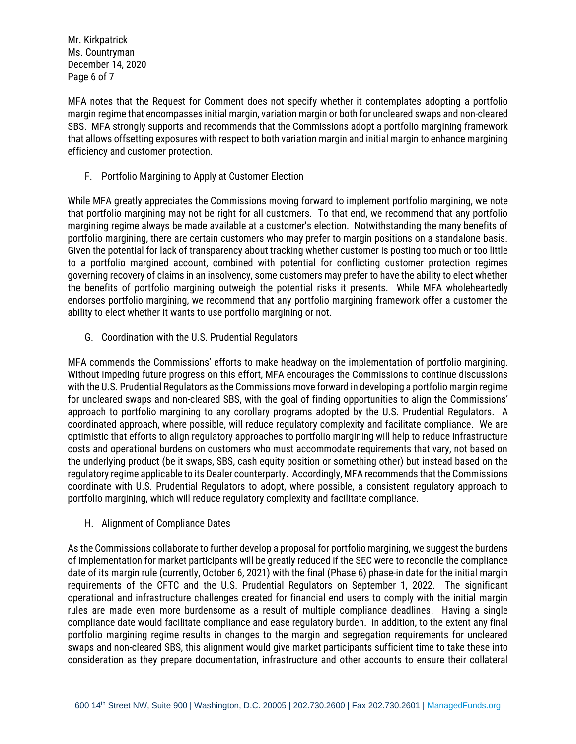Mr. Kirkpatrick Ms. Countryman December 14, 2020 Page 6 of 7

MFA notes that the Request for Comment does not specify whether it contemplates adopting a portfolio margin regime that encompasses initial margin, variation margin or both for uncleared swaps and non-cleared SBS. MFA strongly supports and recommends that the Commissions adopt a portfolio margining framework that allows offsetting exposures with respect to both variation margin and initial margin to enhance margining efficiency and customer protection.

## F. Portfolio Margining to Apply at Customer Election

While MFA greatly appreciates the Commissions moving forward to implement portfolio margining, we note that portfolio margining may not be right for all customers. To that end, we recommend that any portfolio margining regime always be made available at a customer's election. Notwithstanding the many benefits of portfolio margining, there are certain customers who may prefer to margin positions on a standalone basis. Given the potential for lack of transparency about tracking whether customer is posting too much or too little to a portfolio margined account, combined with potential for conflicting customer protection regimes governing recovery of claims in an insolvency, some customers may prefer to have the ability to elect whether the benefits of portfolio margining outweigh the potential risks it presents. While MFA wholeheartedly endorses portfolio margining, we recommend that any portfolio margining framework offer a customer the ability to elect whether it wants to use portfolio margining or not.

# G. Coordination with the U.S. Prudential Regulators

MFA commends the Commissions' efforts to make headway on the implementation of portfolio margining. Without impeding future progress on this effort, MFA encourages the Commissions to continue discussions with the U.S. Prudential Regulators as the Commissions move forward in developing a portfolio margin regime for uncleared swaps and non-cleared SBS, with the goal of finding opportunities to align the Commissions' approach to portfolio margining to any corollary programs adopted by the U.S. Prudential Regulators. A coordinated approach, where possible, will reduce regulatory complexity and facilitate compliance. We are optimistic that efforts to align regulatory approaches to portfolio margining will help to reduce infrastructure costs and operational burdens on customers who must accommodate requirements that vary, not based on the underlying product (be it swaps, SBS, cash equity position or something other) but instead based on the regulatory regime applicable to its Dealer counterparty. Accordingly, MFA recommends that the Commissions coordinate with U.S. Prudential Regulators to adopt, where possible, a consistent regulatory approach to portfolio margining, which will reduce regulatory complexity and facilitate compliance.

### H. Alignment of Compliance Dates

As the Commissions collaborate to further develop a proposal for portfolio margining, we suggest the burdens of implementation for market participants will be greatly reduced if the SEC were to reconcile the compliance date of its margin rule (currently, October 6, 2021) with the final (Phase 6) phase-in date for the initial margin requirements of the CFTC and the U.S. Prudential Regulators on September 1, 2022. The significant operational and infrastructure challenges created for financial end users to comply with the initial margin rules are made even more burdensome as a result of multiple compliance deadlines. Having a single compliance date would facilitate compliance and ease regulatory burden. In addition, to the extent any final portfolio margining regime results in changes to the margin and segregation requirements for uncleared swaps and non-cleared SBS, this alignment would give market participants sufficient time to take these into consideration as they prepare documentation, infrastructure and other accounts to ensure their collateral